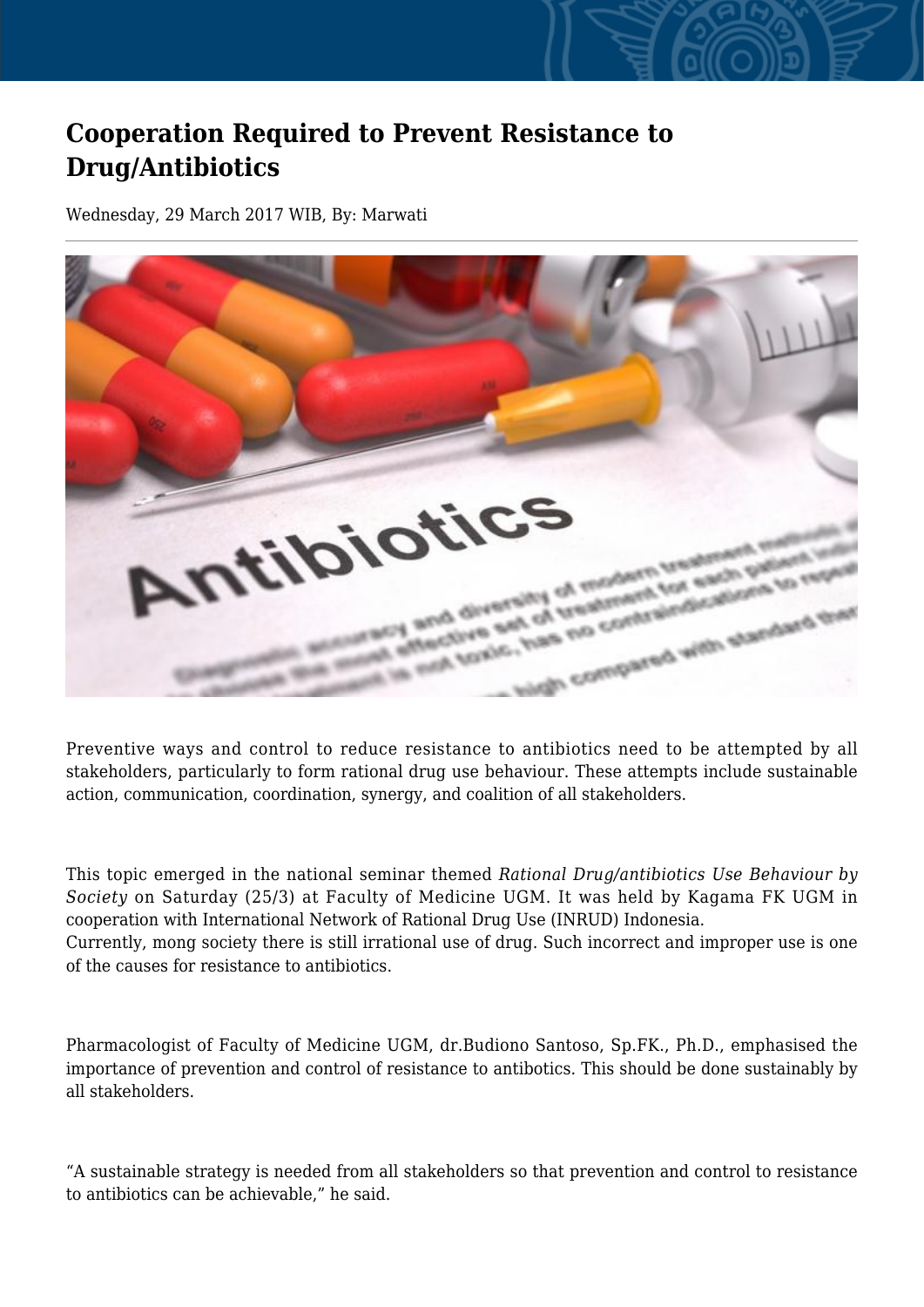## **Cooperation Required to Prevent Resistance to Drug/Antibiotics**

Wednesday, 29 March 2017 WIB, By: Marwati



Preventive ways and control to reduce resistance to antibiotics need to be attempted by all stakeholders, particularly to form rational drug use behaviour. These attempts include sustainable action, communication, coordination, synergy, and coalition of all stakeholders.

This topic emerged in the national seminar themed *Rational Drug/antibiotics Use Behaviour by Society* on Saturday (25/3) at Faculty of Medicine UGM. It was held by Kagama FK UGM in cooperation with International Network of Rational Drug Use (INRUD) Indonesia. Currently, mong society there is still irrational use of drug. Such incorrect and improper use is one of the causes for resistance to antibiotics.

Pharmacologist of Faculty of Medicine UGM, dr.Budiono Santoso, Sp.FK., Ph.D., emphasised the importance of prevention and control of resistance to antibotics. This should be done sustainably by all stakeholders.

"A sustainable strategy is needed from all stakeholders so that prevention and control to resistance to antibiotics can be achievable," he said.